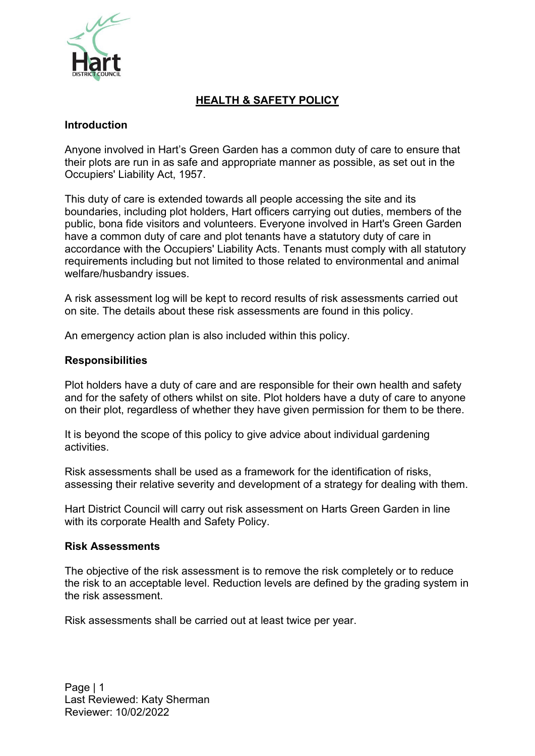

# **HEALTH & SAFETY POLICY**

## **Introduction**

Anyone involved in Hart's Green Garden has a common duty of care to ensure that their plots are run in as safe and appropriate manner as possible, as set out in the Occupiers' Liability Act, 1957.

This duty of care is extended towards all people accessing the site and its boundaries, including plot holders, Hart officers carrying out duties, members of the public, bona fide visitors and volunteers. Everyone involved in Hart's Green Garden have a common duty of care and plot tenants have a statutory duty of care in accordance with the Occupiers' Liability Acts. Tenants must comply with all statutory requirements including but not limited to those related to environmental and animal welfare/husbandry issues.

A risk assessment log will be kept to record results of risk assessments carried out on site. The details about these risk assessments are found in this policy.

An emergency action plan is also included within this policy.

## **Responsibilities**

Plot holders have a duty of care and are responsible for their own health and safety and for the safety of others whilst on site. Plot holders have a duty of care to anyone on their plot, regardless of whether they have given permission for them to be there.

It is beyond the scope of this policy to give advice about individual gardening activities.

Risk assessments shall be used as a framework for the identification of risks, assessing their relative severity and development of a strategy for dealing with them.

Hart District Council will carry out risk assessment on Harts Green Garden in line with its corporate Health and Safety Policy.

## **Risk Assessments**

The objective of the risk assessment is to remove the risk completely or to reduce the risk to an acceptable level. Reduction levels are defined by the grading system in the risk assessment.

Risk assessments shall be carried out at least twice per year.

Page | 1 Last Reviewed: Katy Sherman Reviewer: 10/02/2022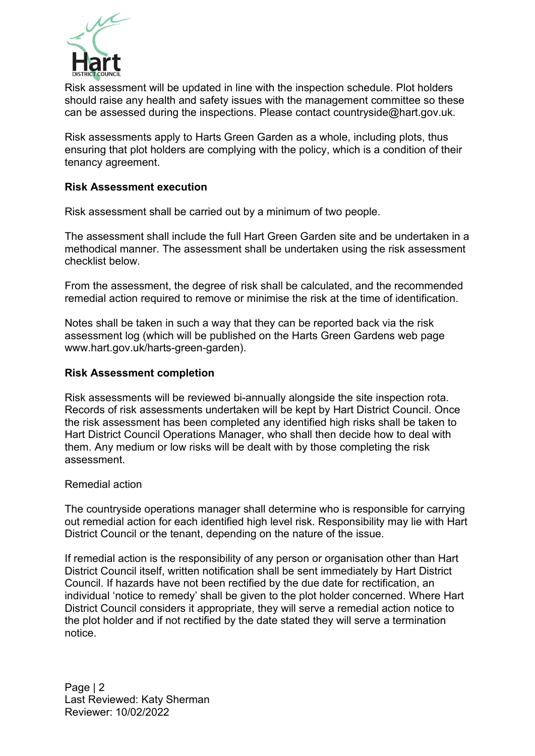

Risk assessment will be updated in line with the inspection schedule. Plot holders should raise any health and safety issues with the management committee so these can be assessed during the inspections. Please contact [countryside@hart.gov.uk.](mailto:countryside@hart.gov.uk)

Risk assessments apply to Harts Green Garden as a whole, including plots, thus ensuring that plot holders are complying with the policy, which is a condition of their tenancy agreement.

## **Risk Assessment execution**

Risk assessment shall be carried out by a minimum of two people.

The assessment shall include the full Hart Green Garden site and be undertaken in a methodical manner. The assessment shall be undertaken using the risk assessment checklist below.

From the assessment, the degree of risk shall be calculated, and the recommended remedial action required to remove or minimise the risk at the time of identification.

Notes shall be taken in such a way that they can be reported back via the risk assessment log (which will be published on the Harts Green Gardens web page [www.hart.gov.uk/harts-green-garden\).](http://www.hart.gov.uk/harts-green-garden))

#### **Risk Assessment completion**

Risk assessments will be reviewed bi-annually alongside the site inspection rota. Records of risk assessments undertaken will be kept by Hart District Council. Once the risk assessment has been completed any identified high risks shall be taken to Hart District Council Operations Manager, who shall then decide how to deal with them. Any medium or low risks will be dealt with by those completing the risk assessment.

#### Remedial action

The countryside operations manager shall determine who is responsible for carrying out remedial action for each identified high level risk. Responsibility may lie with Hart District Council or the tenant, depending on the nature of the issue.

If remedial action is the responsibility of any person or organisation other than Hart District Council itself, written notification shall be sent immediately by Hart District Council. If hazards have not been rectified by the due date for rectification, an individual 'notice to remedy' shall be given to the plot holder concerned. Where Hart District Council considers it appropriate, they will serve a remedial action notice to the plot holder and if not rectified by the date stated they will serve a termination notice.

Page | 2 Last Reviewed: Katy Sherman Reviewer: 10/02/2022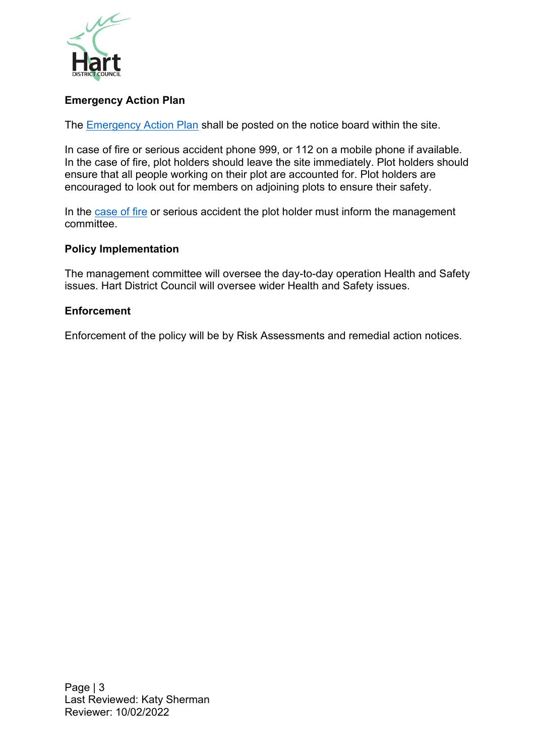

## **Emergency Action Plan**

The [Emergency Action Plan](https://hartdistrictcouncil.sharepoint.com/:w:/s/Countryside/EdhSkL611ytHtGVe4_5VD6oB1mxiW9HcBCv401CTzVut_Q?e=XdP7WQ) shall be posted on the notice board within the site.

In case of fire or serious accident phone 999, or 112 on a mobile phone if available. In the case of fire, plot holders should leave the site immediately. Plot holders should ensure that all people working on their plot are accounted for. Plot holders are encouraged to look out for members on adjoining plots to ensure their safety.

In the [case of fire](https://hartdistrictcouncil.sharepoint.com/:b:/s/Countryside/EVMPoLfs0D9AqtHGrY2HHLQB8o2iJotmGii4GYxgld8XbQ?e=0pl1dI) or serious accident the plot holder must inform the management committee.

## **Policy Implementation**

The management committee will oversee the day-to-day operation Health and Safety issues. Hart District Council will oversee wider Health and Safety issues.

## **Enforcement**

Enforcement of the policy will be by Risk Assessments and remedial action notices.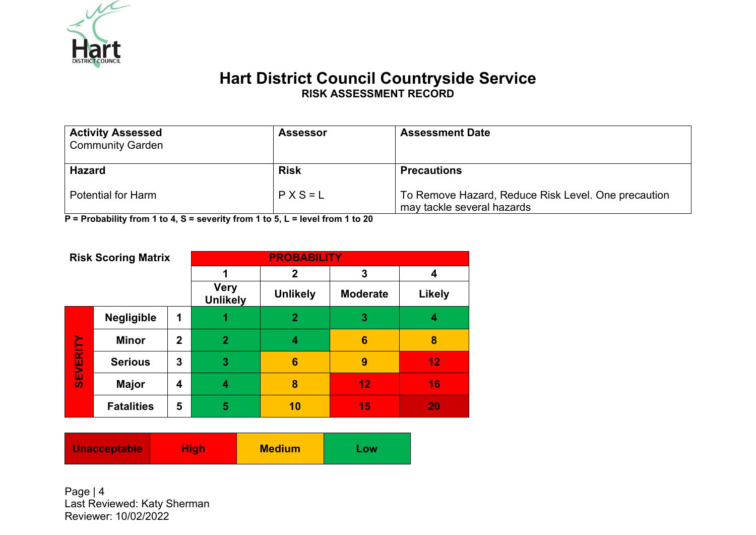

# **Hart District Council Countryside Service RISK ASSESSMENT RECORD**

| <b>Activity Assessed</b><br><b>Community Garden</b> | <b>Assessor</b> | <b>Assessment Date</b>                                                            |
|-----------------------------------------------------|-----------------|-----------------------------------------------------------------------------------|
| <b>Hazard</b>                                       | <b>Risk</b>     | <b>Precautions</b>                                                                |
| <b>Potential for Harm</b>                           | $P X S = L$     | To Remove Hazard, Reduce Risk Level. One precaution<br>may tackle several hazards |

**P = Probability from 1 to 4, S = severity from 1 to 5, L = level from 1 to 20**

| <b>Risk Scoring Matrix</b> |                   | <b>PROBABILITY</b>             |                 |                 |        |    |
|----------------------------|-------------------|--------------------------------|-----------------|-----------------|--------|----|
|                            |                   |                                | 2               | 3               | 4      |    |
|                            |                   | <b>Very</b><br><b>Unlikely</b> | <b>Unlikely</b> | <b>Moderate</b> | Likely |    |
|                            | Negligible        | 1                              |                 | $\overline{2}$  | 3      | 4  |
|                            | <b>Minor</b>      | $\mathbf 2$                    | $\overline{2}$  | 4               | 6      | 8  |
| <b>SEVERITY</b>            | <b>Serious</b>    | 3                              | 3               | 6               | 9      | 12 |
|                            | <b>Major</b>      | 4                              | 4               | 8               | 12     | 16 |
|                            | <b>Fatalities</b> | 5                              | 5               | 10              | 15     | 20 |

| <b>Medium</b><br>Unacceptable<br><b>High</b><br><b>Low</b> |
|------------------------------------------------------------|
|------------------------------------------------------------|

Page | 4 Last Reviewed: Katy Sherman Reviewer: 10/02/2022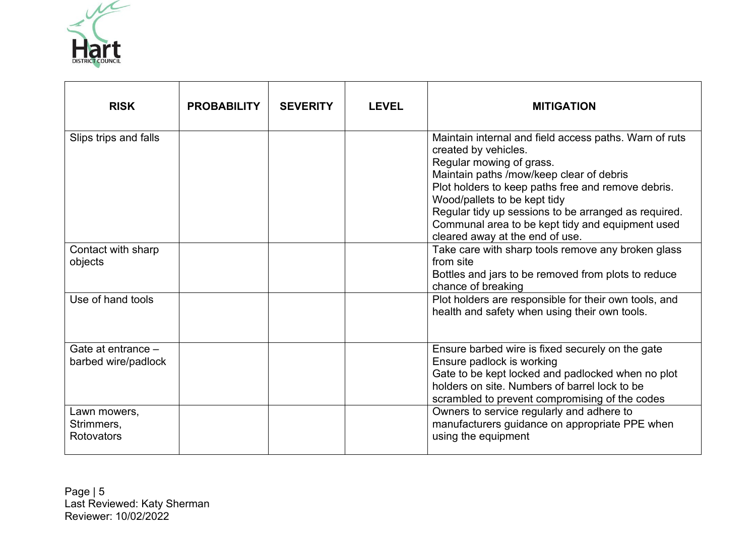

| <b>RISK</b>                               | <b>PROBABILITY</b> | <b>SEVERITY</b> | <b>LEVEL</b> | <b>MITIGATION</b>                                                                                                                                                                                                                                                                                                                                                                           |
|-------------------------------------------|--------------------|-----------------|--------------|---------------------------------------------------------------------------------------------------------------------------------------------------------------------------------------------------------------------------------------------------------------------------------------------------------------------------------------------------------------------------------------------|
| Slips trips and falls                     |                    |                 |              | Maintain internal and field access paths. Warn of ruts<br>created by vehicles.<br>Regular mowing of grass.<br>Maintain paths /mow/keep clear of debris<br>Plot holders to keep paths free and remove debris.<br>Wood/pallets to be kept tidy<br>Regular tidy up sessions to be arranged as required.<br>Communal area to be kept tidy and equipment used<br>cleared away at the end of use. |
| Contact with sharp<br>objects             |                    |                 |              | Take care with sharp tools remove any broken glass<br>from site<br>Bottles and jars to be removed from plots to reduce<br>chance of breaking                                                                                                                                                                                                                                                |
| Use of hand tools                         |                    |                 |              | Plot holders are responsible for their own tools, and<br>health and safety when using their own tools.                                                                                                                                                                                                                                                                                      |
| Gate at entrance -<br>barbed wire/padlock |                    |                 |              | Ensure barbed wire is fixed securely on the gate<br>Ensure padlock is working<br>Gate to be kept locked and padlocked when no plot<br>holders on site. Numbers of barrel lock to be<br>scrambled to prevent compromising of the codes                                                                                                                                                       |
| Lawn mowers,<br>Strimmers,<br>Rotovators  |                    |                 |              | Owners to service regularly and adhere to<br>manufacturers guidance on appropriate PPE when<br>using the equipment                                                                                                                                                                                                                                                                          |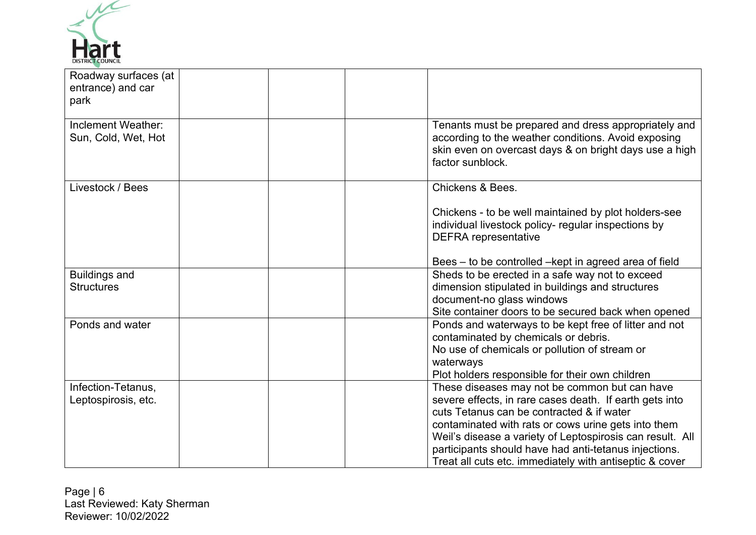

| Roadway surfaces (at<br>entrance) and car<br>park |                                                                                                                                                                                                                                                                                                                                                                                               |
|---------------------------------------------------|-----------------------------------------------------------------------------------------------------------------------------------------------------------------------------------------------------------------------------------------------------------------------------------------------------------------------------------------------------------------------------------------------|
| Inclement Weather:<br>Sun, Cold, Wet, Hot         | Tenants must be prepared and dress appropriately and<br>according to the weather conditions. Avoid exposing<br>skin even on overcast days & on bright days use a high<br>factor sunblock.                                                                                                                                                                                                     |
| Livestock / Bees                                  | Chickens & Bees.                                                                                                                                                                                                                                                                                                                                                                              |
|                                                   | Chickens - to be well maintained by plot holders-see<br>individual livestock policy- regular inspections by<br><b>DEFRA</b> representative                                                                                                                                                                                                                                                    |
|                                                   | Bees – to be controlled – kept in agreed area of field                                                                                                                                                                                                                                                                                                                                        |
| <b>Buildings and</b><br><b>Structures</b>         | Sheds to be erected in a safe way not to exceed<br>dimension stipulated in buildings and structures<br>document-no glass windows<br>Site container doors to be secured back when opened                                                                                                                                                                                                       |
| Ponds and water                                   | Ponds and waterways to be kept free of litter and not<br>contaminated by chemicals or debris.<br>No use of chemicals or pollution of stream or<br>waterways<br>Plot holders responsible for their own children                                                                                                                                                                                |
| Infection-Tetanus,<br>Leptospirosis, etc.         | These diseases may not be common but can have<br>severe effects, in rare cases death. If earth gets into<br>cuts Tetanus can be contracted & if water<br>contaminated with rats or cows urine gets into them<br>Weil's disease a variety of Leptospirosis can result. All<br>participants should have had anti-tetanus injections.<br>Treat all cuts etc. immediately with antiseptic & cover |

Page | 6 Last Reviewed: Katy Sherman Reviewer: 10/02/2022